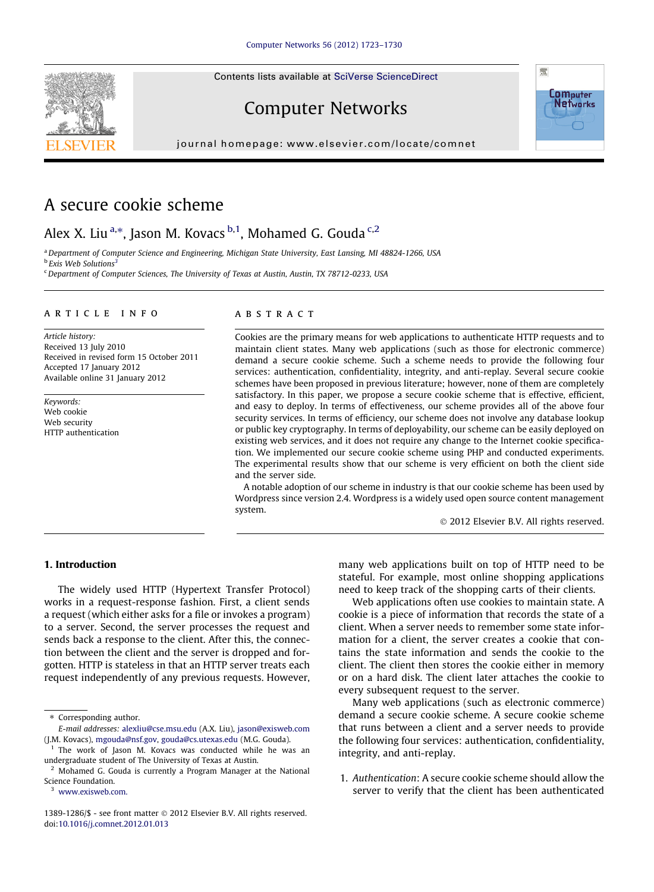Contents lists available at [SciVerse ScienceDirect](http://www.sciencedirect.com/science/journal/13891286)

# Computer Networks

journal homepage: [www.elsevier.com/locate/comnet](http://www.elsevier.com/locate/comnet)





# A secure cookie scheme

# Alex X. Liu <sup>a,\*</sup>, Jason M. Kovacs <sup>b,1</sup>, Mohamed G. Gouda <sup>c,2</sup>

a Department of Computer Science and Engineering, Michigan State University, East Lansing, MI 48824-1266, USA <sup>b</sup> Exis Web Solutions<sup>3</sup>  $\cdot$ <sup>c</sup> Department of Computer Sciences, The University of Texas at Austin, Austin, TX 78712-0233, USA

#### ARTICLE INFO

Article history: Received 13 July 2010 Received in revised form 15 October 2011 Accepted 17 January 2012 Available online 31 January 2012

Keywords: Web cookie Web security HTTP authentication

#### **ARSTRACT**

Cookies are the primary means for web applications to authenticate HTTP requests and to maintain client states. Many web applications (such as those for electronic commerce) demand a secure cookie scheme. Such a scheme needs to provide the following four services: authentication, confidentiality, integrity, and anti-replay. Several secure cookie schemes have been proposed in previous literature; however, none of them are completely satisfactory. In this paper, we propose a secure cookie scheme that is effective, efficient, and easy to deploy. In terms of effectiveness, our scheme provides all of the above four security services. In terms of efficiency, our scheme does not involve any database lookup or public key cryptography. In terms of deployability, our scheme can be easily deployed on existing web services, and it does not require any change to the Internet cookie specification. We implemented our secure cookie scheme using PHP and conducted experiments. The experimental results show that our scheme is very efficient on both the client side and the server side.

A notable adoption of our scheme in industry is that our cookie scheme has been used by Wordpress since version 2.4. Wordpress is a widely used open source content management system.

- 2012 Elsevier B.V. All rights reserved.

### 1. Introduction

The widely used HTTP (Hypertext Transfer Protocol) works in a request-response fashion. First, a client sends a request (which either asks for a file or invokes a program) to a server. Second, the server processes the request and sends back a response to the client. After this, the connection between the client and the server is dropped and forgotten. HTTP is stateless in that an HTTP server treats each request independently of any previous requests. However,

⇑ Corresponding author.

<sup>3</sup> [www.exisweb.com.](http://www.exisweb.com)

many web applications built on top of HTTP need to be stateful. For example, most online shopping applications need to keep track of the shopping carts of their clients.

Web applications often use cookies to maintain state. A cookie is a piece of information that records the state of a client. When a server needs to remember some state information for a client, the server creates a cookie that contains the state information and sends the cookie to the client. The client then stores the cookie either in memory or on a hard disk. The client later attaches the cookie to every subsequent request to the server.

Many web applications (such as electronic commerce) demand a secure cookie scheme. A secure cookie scheme that runs between a client and a server needs to provide the following four services: authentication, confidentiality, integrity, and anti-replay.

1. Authentication: A secure cookie scheme should allow the server to verify that the client has been authenticated

E-mail addresses: [alexliu@cse.msu.edu](mailto:alexliu@cse.msu.edu) (A.X. Liu), [jason@exisweb.com](mailto:jason@exisweb.com) (J.M. Kovacs), [mgouda@nsf.gov,](mailto:mgouda@nsf.gov) [gouda@cs.utexas.edu](mailto:gouda@cs.utexas.edu) (M.G. Gouda).

 $1$  The work of Jason M. Kovacs was conducted while he was an undergraduate student of The University of Texas at Austin.

<sup>2</sup> Mohamed G. Gouda is currently a Program Manager at the National Science Foundation.

<sup>1389-1286/\$ -</sup> see front matter © 2012 Elsevier B.V. All rights reserved. doi:[10.1016/j.comnet.2012.01.013](http://dx.doi.org/10.1016/j.comnet.2012.01.013)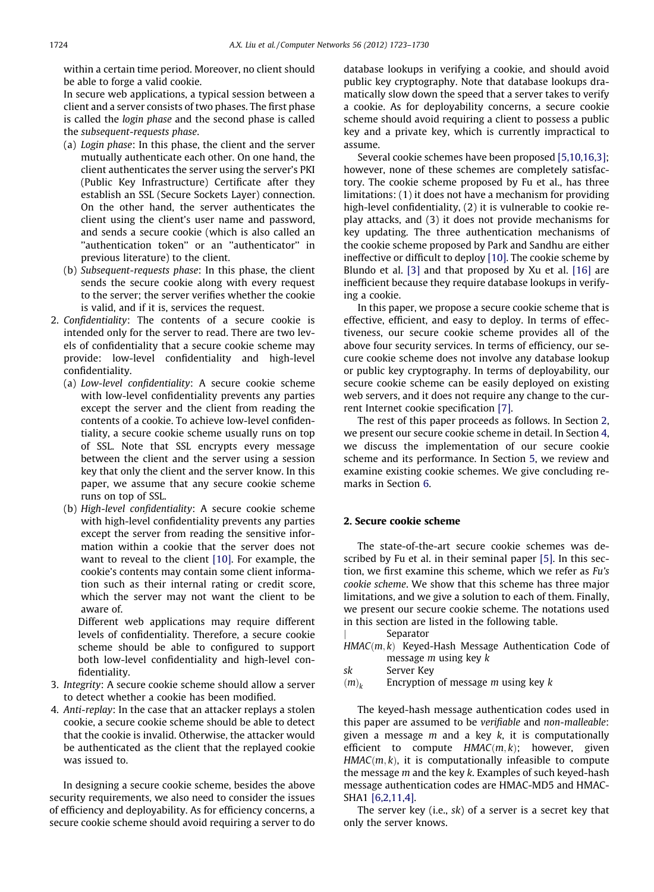within a certain time period. Moreover, no client should be able to forge a valid cookie.

In secure web applications, a typical session between a client and a server consists of two phases. The first phase is called the login phase and the second phase is called the subsequent-requests phase.

- (a) Login phase: In this phase, the client and the server mutually authenticate each other. On one hand, the client authenticates the server using the server's PKI (Public Key Infrastructure) Certificate after they establish an SSL (Secure Sockets Layer) connection. On the other hand, the server authenticates the client using the client's user name and password, and sends a secure cookie (which is also called an "authentication token" or an "authenticator" in previous literature) to the client.
- (b) Subsequent-requests phase: In this phase, the client sends the secure cookie along with every request to the server; the server verifies whether the cookie is valid, and if it is, services the request.
- 2. Confidentiality: The contents of a secure cookie is intended only for the server to read. There are two levels of confidentiality that a secure cookie scheme may provide: low-level confidentiality and high-level confidentiality.
	- (a) Low-level confidentiality: A secure cookie scheme with low-level confidentiality prevents any parties except the server and the client from reading the contents of a cookie. To achieve low-level confidentiality, a secure cookie scheme usually runs on top of SSL. Note that SSL encrypts every message between the client and the server using a session key that only the client and the server know. In this paper, we assume that any secure cookie scheme runs on top of SSL.
	- (b) High-level confidentiality: A secure cookie scheme with high-level confidentiality prevents any parties except the server from reading the sensitive information within a cookie that the server does not want to reveal to the client [\[10\].](#page-7-0) For example, the cookie's contents may contain some client information such as their internal rating or credit score, which the server may not want the client to be aware of.

Different web applications may require different levels of confidentiality. Therefore, a secure cookie scheme should be able to configured to support both low-level confidentiality and high-level confidentiality.

- 3. Integrity: A secure cookie scheme should allow a server to detect whether a cookie has been modified.
- 4. Anti-replay: In the case that an attacker replays a stolen cookie, a secure cookie scheme should be able to detect that the cookie is invalid. Otherwise, the attacker would be authenticated as the client that the replayed cookie was issued to.

In designing a secure cookie scheme, besides the above security requirements, we also need to consider the issues of efficiency and deployability. As for efficiency concerns, a secure cookie scheme should avoid requiring a server to do database lookups in verifying a cookie, and should avoid public key cryptography. Note that database lookups dramatically slow down the speed that a server takes to verify a cookie. As for deployability concerns, a secure cookie scheme should avoid requiring a client to possess a public key and a private key, which is currently impractical to assume.

Several cookie schemes have been proposed [\[5,10,16,3\];](#page-7-0) however, none of these schemes are completely satisfactory. The cookie scheme proposed by Fu et al., has three limitations: (1) it does not have a mechanism for providing high-level confidentiality, (2) it is vulnerable to cookie replay attacks, and (3) it does not provide mechanisms for key updating. The three authentication mechanisms of the cookie scheme proposed by Park and Sandhu are either ineffective or difficult to deploy [\[10\].](#page-7-0) The cookie scheme by Blundo et al. [\[3\]](#page-7-0) and that proposed by Xu et al. [\[16\]](#page-7-0) are inefficient because they require database lookups in verifying a cookie.

In this paper, we propose a secure cookie scheme that is effective, efficient, and easy to deploy. In terms of effectiveness, our secure cookie scheme provides all of the above four security services. In terms of efficiency, our secure cookie scheme does not involve any database lookup or public key cryptography. In terms of deployability, our secure cookie scheme can be easily deployed on existing web servers, and it does not require any change to the current Internet cookie specification [\[7\]](#page-7-0).

The rest of this paper proceeds as follows. In Section 2, we present our secure cookie scheme in detail. In Section 4, we discuss the implementation of our secure cookie scheme and its performance. In Section 5, we review and examine existing cookie schemes. We give concluding remarks in Section 6.

# 2. Secure cookie scheme

The state-of-the-art secure cookie schemes was described by Fu et al. in their seminal paper [\[5\]](#page-7-0). In this section, we first examine this scheme, which we refer as Fu's cookie scheme. We show that this scheme has three major limitations, and we give a solution to each of them. Finally, we present our secure cookie scheme. The notations used in this section are listed in the following table.

- Separator
- $HMAC(m, k)$  Keyed-Hash Message Authentication Code of message  $m$  using key  $k$
- sk Server Key
- $(m)_k$  Encryption of message m using key k

The keyed-hash message authentication codes used in this paper are assumed to be verifiable and non-malleable: given a message  $m$  and a key  $k$ , it is computationally efficient to compute  $HMAC(m, k)$ ; however, given  $HMAC(m, k)$ , it is computationally infeasible to compute the message m and the key k. Examples of such keyed-hash message authentication codes are HMAC-MD5 and HMAC-SHA1 [\[6,2,11,4\].](#page-7-0)

The server key (i.e.,  $sk$ ) of a server is a secret key that only the server knows.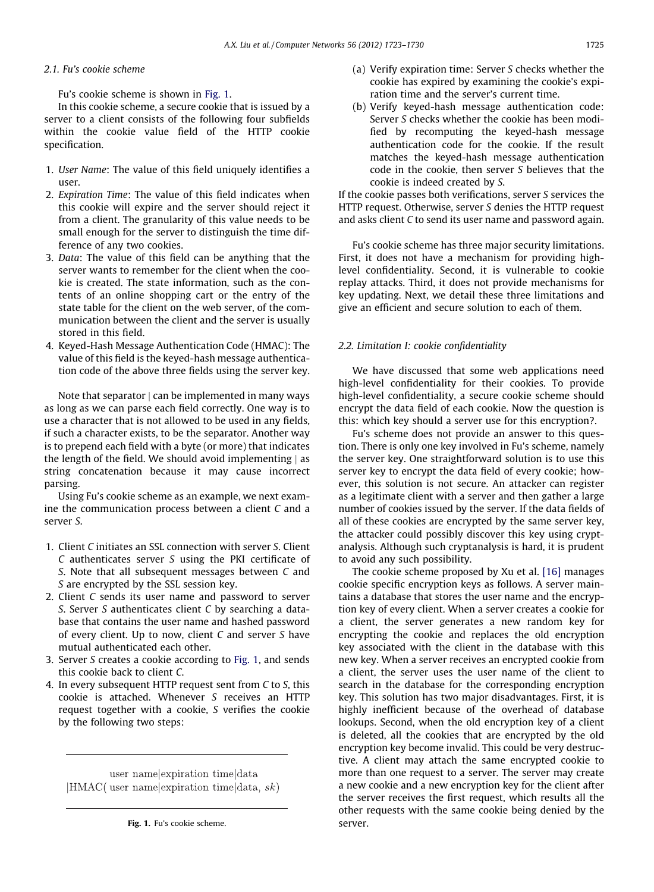# <span id="page-2-0"></span>2.1. Fu's cookie scheme

Fu's cookie scheme is shown in Fig. 1.

In this cookie scheme, a secure cookie that is issued by a server to a client consists of the following four subfields within the cookie value field of the HTTP cookie specification.

- 1. User Name: The value of this field uniquely identifies a user.
- 2. Expiration Time: The value of this field indicates when this cookie will expire and the server should reject it from a client. The granularity of this value needs to be small enough for the server to distinguish the time difference of any two cookies.
- 3. Data: The value of this field can be anything that the server wants to remember for the client when the cookie is created. The state information, such as the contents of an online shopping cart or the entry of the state table for the client on the web server, of the communication between the client and the server is usually stored in this field.
- 4. Keyed-Hash Message Authentication Code (HMAC): The value of this field is the keyed-hash message authentication code of the above three fields using the server key.

Note that separator  $|$  can be implemented in many ways as long as we can parse each field correctly. One way is to use a character that is not allowed to be used in any fields, if such a character exists, to be the separator. Another way is to prepend each field with a byte (or more) that indicates the length of the field. We should avoid implementing  $|$  as string concatenation because it may cause incorrect parsing.

Using Fu's cookie scheme as an example, we next examine the communication process between a client C and a server S.

- 1. Client C initiates an SSL connection with server S. Client C authenticates server S using the PKI certificate of S. Note that all subsequent messages between C and S are encrypted by the SSL session key.
- 2. Client C sends its user name and password to server S. Server S authenticates client C by searching a database that contains the user name and hashed password of every client. Up to now, client C and server S have mutual authenticated each other.
- 3. Server S creates a cookie according to Fig. 1, and sends this cookie back to client C.
- 4. In every subsequent HTTP request sent from C to S, this cookie is attached. Whenever S receives an HTTP request together with a cookie, S verifies the cookie by the following two steps:

user name expiration time data  $|HMAC|$  user name expiration time data, sk)

Fig. 1. Fu's cookie scheme. Server.

- (a) Verify expiration time: Server S checks whether the cookie has expired by examining the cookie's expiration time and the server's current time.
- (b) Verify keyed-hash message authentication code: Server S checks whether the cookie has been modified by recomputing the keyed-hash message authentication code for the cookie. If the result matches the keyed-hash message authentication code in the cookie, then server S believes that the cookie is indeed created by S.

If the cookie passes both verifications, server S services the HTTP request. Otherwise, server S denies the HTTP request and asks client C to send its user name and password again.

Fu's cookie scheme has three major security limitations. First, it does not have a mechanism for providing highlevel confidentiality. Second, it is vulnerable to cookie replay attacks. Third, it does not provide mechanisms for key updating. Next, we detail these three limitations and give an efficient and secure solution to each of them.

#### 2.2. Limitation I: cookie confidentiality

We have discussed that some web applications need high-level confidentiality for their cookies. To provide high-level confidentiality, a secure cookie scheme should encrypt the data field of each cookie. Now the question is this: which key should a server use for this encryption?.

Fu's scheme does not provide an answer to this question. There is only one key involved in Fu's scheme, namely the server key. One straightforward solution is to use this server key to encrypt the data field of every cookie; however, this solution is not secure. An attacker can register as a legitimate client with a server and then gather a large number of cookies issued by the server. If the data fields of all of these cookies are encrypted by the same server key, the attacker could possibly discover this key using cryptanalysis. Although such cryptanalysis is hard, it is prudent to avoid any such possibility.

The cookie scheme proposed by Xu et al. [\[16\]](#page-7-0) manages cookie specific encryption keys as follows. A server maintains a database that stores the user name and the encryption key of every client. When a server creates a cookie for a client, the server generates a new random key for encrypting the cookie and replaces the old encryption key associated with the client in the database with this new key. When a server receives an encrypted cookie from a client, the server uses the user name of the client to search in the database for the corresponding encryption key. This solution has two major disadvantages. First, it is highly inefficient because of the overhead of database lookups. Second, when the old encryption key of a client is deleted, all the cookies that are encrypted by the old encryption key become invalid. This could be very destructive. A client may attach the same encrypted cookie to more than one request to a server. The server may create a new cookie and a new encryption key for the client after the server receives the first request, which results all the other requests with the same cookie being denied by the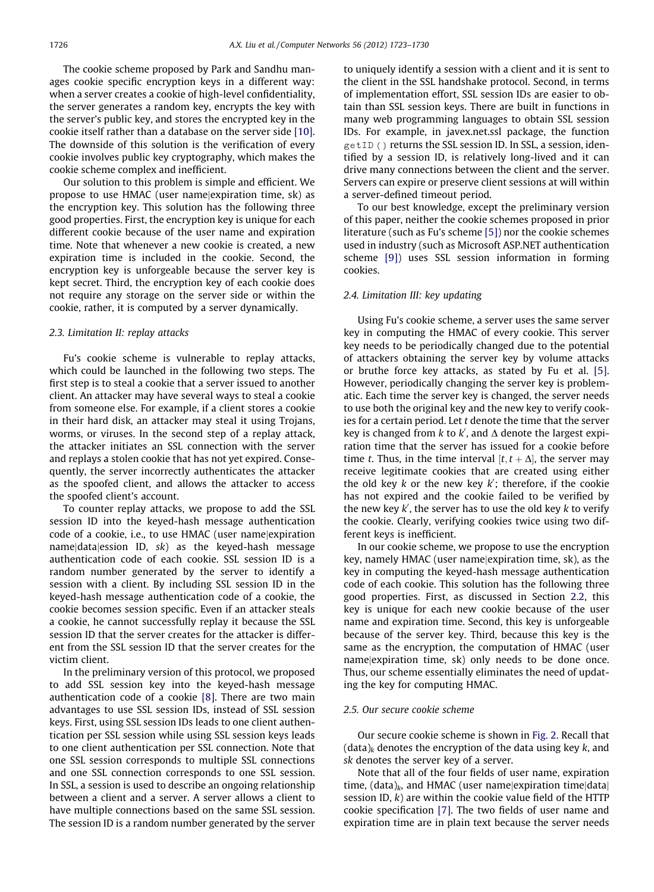The cookie scheme proposed by Park and Sandhu manages cookie specific encryption keys in a different way: when a server creates a cookie of high-level confidentiality, the server generates a random key, encrypts the key with the server's public key, and stores the encrypted key in the cookie itself rather than a database on the server side [\[10\]](#page-7-0). The downside of this solution is the verification of every cookie involves public key cryptography, which makes the cookie scheme complex and inefficient.

Our solution to this problem is simple and efficient. We propose to use HMAC (user namejexpiration time, sk) as the encryption key. This solution has the following three good properties. First, the encryption key is unique for each different cookie because of the user name and expiration time. Note that whenever a new cookie is created, a new expiration time is included in the cookie. Second, the encryption key is unforgeable because the server key is kept secret. Third, the encryption key of each cookie does not require any storage on the server side or within the cookie, rather, it is computed by a server dynamically.

# 2.3. Limitation II: replay attacks

Fu's cookie scheme is vulnerable to replay attacks, which could be launched in the following two steps. The first step is to steal a cookie that a server issued to another client. An attacker may have several ways to steal a cookie from someone else. For example, if a client stores a cookie in their hard disk, an attacker may steal it using Trojans, worms, or viruses. In the second step of a replay attack, the attacker initiates an SSL connection with the server and replays a stolen cookie that has not yet expired. Consequently, the server incorrectly authenticates the attacker as the spoofed client, and allows the attacker to access the spoofed client's account.

To counter replay attacks, we propose to add the SSL session ID into the keyed-hash message authentication code of a cookie, i.e., to use HMAC (user namejexpiration namejdatajession ID, sk) as the keyed-hash message authentication code of each cookie. SSL session ID is a random number generated by the server to identify a session with a client. By including SSL session ID in the keyed-hash message authentication code of a cookie, the cookie becomes session specific. Even if an attacker steals a cookie, he cannot successfully replay it because the SSL session ID that the server creates for the attacker is different from the SSL session ID that the server creates for the victim client.

In the preliminary version of this protocol, we proposed to add SSL session key into the keyed-hash message authentication code of a cookie [\[8\].](#page-7-0) There are two main advantages to use SSL session IDs, instead of SSL session keys. First, using SSL session IDs leads to one client authentication per SSL session while using SSL session keys leads to one client authentication per SSL connection. Note that one SSL session corresponds to multiple SSL connections and one SSL connection corresponds to one SSL session. In SSL, a session is used to describe an ongoing relationship between a client and a server. A server allows a client to have multiple connections based on the same SSL session. The session ID is a random number generated by the server

to uniquely identify a session with a client and it is sent to the client in the SSL handshake protocol. Second, in terms of implementation effort, SSL session IDs are easier to obtain than SSL session keys. There are built in functions in many web programming languages to obtain SSL session IDs. For example, in javex.net.ssl package, the function getID () returns the SSL session ID. In SSL, a session, identified by a session ID, is relatively long-lived and it can drive many connections between the client and the server. Servers can expire or preserve client sessions at will within a server-defined timeout period.

To our best knowledge, except the preliminary version of this paper, neither the cookie schemes proposed in prior literature (such as Fu's scheme [\[5\]](#page-7-0)) nor the cookie schemes used in industry (such as Microsoft ASP.NET authentication scheme [\[9\]](#page-7-0)) uses SSL session information in forming cookies.

#### 2.4. Limitation III: key updating

Using Fu's cookie scheme, a server uses the same server key in computing the HMAC of every cookie. This server key needs to be periodically changed due to the potential of attackers obtaining the server key by volume attacks or bruthe force key attacks, as stated by Fu et al. [\[5\]](#page-7-0). However, periodically changing the server key is problematic. Each time the server key is changed, the server needs to use both the original key and the new key to verify cookies for a certain period. Let t denote the time that the server key is changed from k to k', and  $\Delta$  denote the largest expiration time that the server has issued for a cookie before time t. Thus, in the time interval  $[t, t + \Delta]$ , the server may receive legitimate cookies that are created using either the old key  $k$  or the new key  $k'$ ; therefore, if the cookie has not expired and the cookie failed to be verified by the new key  $k'$ , the server has to use the old key  $k$  to verify the cookie. Clearly, verifying cookies twice using two different keys is inefficient.

In our cookie scheme, we propose to use the encryption key, namely HMAC (user namejexpiration time, sk), as the key in computing the keyed-hash message authentication code of each cookie. This solution has the following three good properties. First, as discussed in Section 2.2, this key is unique for each new cookie because of the user name and expiration time. Second, this key is unforgeable because of the server key. Third, because this key is the same as the encryption, the computation of HMAC (user namejexpiration time, sk) only needs to be done once. Thus, our scheme essentially eliminates the need of updating the key for computing HMAC.

#### 2.5. Our secure cookie scheme

Our secure cookie scheme is shown in [Fig. 2](#page-4-0). Recall that  $(data)_k$  denotes the encryption of the data using key k, and sk denotes the server key of a server.

Note that all of the four fields of user name, expiration time,  $(data)_k$ , and HMAC (user name expiration time data) session ID,  $k$ ) are within the cookie value field of the HTTP cookie specification [\[7\]](#page-7-0). The two fields of user name and expiration time are in plain text because the server needs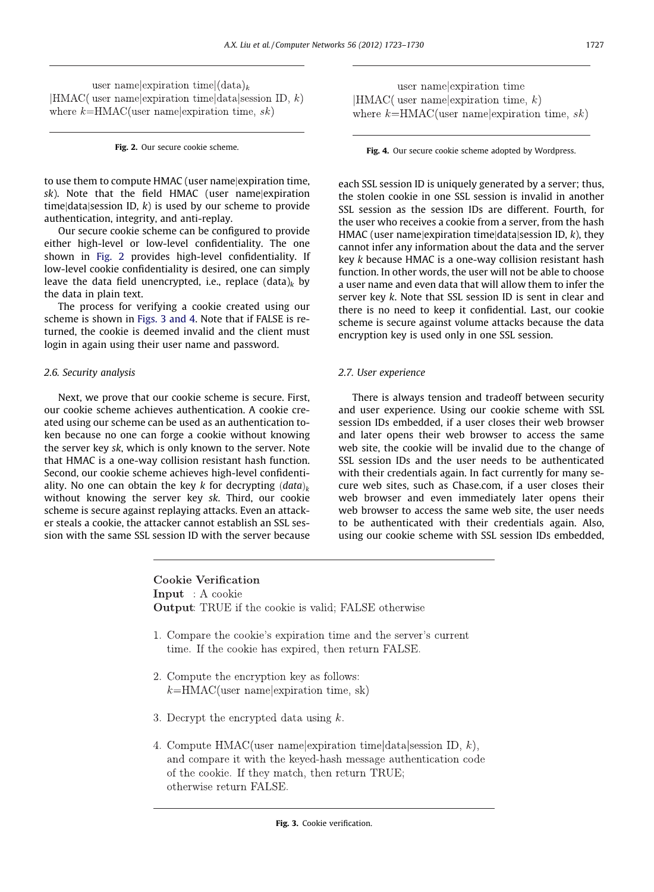<span id="page-4-0"></span>user namelexpiration timel( $data)_{k}$  $|HMAC|$  user namelexpiration time data session ID, k) where  $k = \text{HMAC}(\text{user name}|\text{expination time}, sk)$ 

Fig. 2. Our secure cookie scheme.

to use them to compute HMAC (user namejexpiration time, sk). Note that the field HMAC (user namejexpiration time|data|session ID,  $k$ ) is used by our scheme to provide authentication, integrity, and anti-replay.

Our secure cookie scheme can be configured to provide either high-level or low-level confidentiality. The one shown in Fig. 2 provides high-level confidentiality. If low-level cookie confidentiality is desired, one can simply leave the data field unencrypted, i.e., replace  $(data)_k$  by the data in plain text.

The process for verifying a cookie created using our scheme is shown in Figs. 3 and 4. Note that if FALSE is returned, the cookie is deemed invalid and the client must login in again using their user name and password.

#### 2.6. Security analysis

Next, we prove that our cookie scheme is secure. First, our cookie scheme achieves authentication. A cookie created using our scheme can be used as an authentication token because no one can forge a cookie without knowing the server key sk, which is only known to the server. Note that HMAC is a one-way collision resistant hash function. Second, our cookie scheme achieves high-level confidentiality. No one can obtain the key k for decrypting  $(data)_k$ without knowing the server key sk. Third, our cookie scheme is secure against replaying attacks. Even an attacker steals a cookie, the attacker cannot establish an SSL session with the same SSL session ID with the server because

user namelexpiration time  $|HMAC|$  user name expiration time, k) where  $k = \text{HMAC}(\text{user name}|\text{expitation time}, sk)$ 

Fig. 4. Our secure cookie scheme adopted by Wordpress.

each SSL session ID is uniquely generated by a server; thus, the stolen cookie in one SSL session is invalid in another SSL session as the session IDs are different. Fourth, for the user who receives a cookie from a server, from the hash HMAC (user namelexpiration timeldatalsession ID,  $k$ ), they cannot infer any information about the data and the server key k because HMAC is a one-way collision resistant hash function. In other words, the user will not be able to choose a user name and even data that will allow them to infer the server key k. Note that SSL session ID is sent in clear and there is no need to keep it confidential. Last, our cookie scheme is secure against volume attacks because the data encryption key is used only in one SSL session.

#### 2.7. User experience

There is always tension and tradeoff between security and user experience. Using our cookie scheme with SSL session IDs embedded, if a user closes their web browser and later opens their web browser to access the same web site, the cookie will be invalid due to the change of SSL session IDs and the user needs to be authenticated with their credentials again. In fact currently for many secure web sites, such as Chase.com, if a user closes their web browser and even immediately later opens their web browser to access the same web site, the user needs to be authenticated with their credentials again. Also, using our cookie scheme with SSL session IDs embedded,

**Cookie Verification** Input : A cookie Output: TRUE if the cookie is valid; FALSE otherwise

- 1. Compare the cookie's expiration time and the server's current time. If the cookie has expired, then return FALSE.
- 2. Compute the encryption key as follows:  $k =$ HMAC(user name expiration time, sk)
- 3. Decrypt the encrypted data using  $k$ .
- 4. Compute HMAC(user name expiration time data session ID,  $k$ ), and compare it with the keyed-hash message authentication code of the cookie. If they match, then return TRUE; otherwise return FALSE.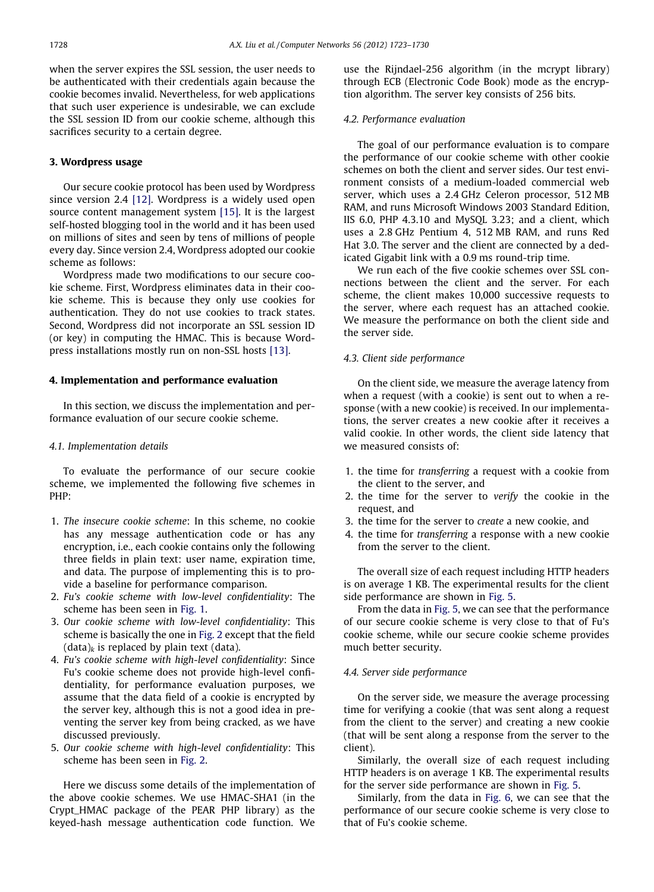when the server expires the SSL session, the user needs to be authenticated with their credentials again because the cookie becomes invalid. Nevertheless, for web applications that such user experience is undesirable, we can exclude the SSL session ID from our cookie scheme, although this sacrifices security to a certain degree.

### 3. Wordpress usage

Our secure cookie protocol has been used by Wordpress since version 2.4 [\[12\].](#page-7-0) Wordpress is a widely used open source content management system [\[15\].](#page-7-0) It is the largest self-hosted blogging tool in the world and it has been used on millions of sites and seen by tens of millions of people every day. Since version 2.4, Wordpress adopted our cookie scheme as follows:

Wordpress made two modifications to our secure cookie scheme. First, Wordpress eliminates data in their cookie scheme. This is because they only use cookies for authentication. They do not use cookies to track states. Second, Wordpress did not incorporate an SSL session ID (or key) in computing the HMAC. This is because Wordpress installations mostly run on non-SSL hosts [\[13\]](#page-7-0).

#### 4. Implementation and performance evaluation

In this section, we discuss the implementation and performance evaluation of our secure cookie scheme.

# 4.1. Implementation details

To evaluate the performance of our secure cookie scheme, we implemented the following five schemes in PHP:

- 1. The insecure cookie scheme: In this scheme, no cookie has any message authentication code or has any encryption, i.e., each cookie contains only the following three fields in plain text: user name, expiration time, and data. The purpose of implementing this is to provide a baseline for performance comparison.
- 2. Fu's cookie scheme with low-level confidentiality: The scheme has been seen in [Fig. 1.](#page-2-0)
- 3. Our cookie scheme with low-level confidentiality: This scheme is basically the one in [Fig. 2](#page-4-0) except that the field  $(data)_k$  is replaced by plain text (data).
- 4. Fu's cookie scheme with high-level confidentiality: Since Fu's cookie scheme does not provide high-level confidentiality, for performance evaluation purposes, we assume that the data field of a cookie is encrypted by the server key, although this is not a good idea in preventing the server key from being cracked, as we have discussed previously.
- 5. Our cookie scheme with high-level confidentiality: This scheme has been seen in [Fig. 2.](#page-4-0)

Here we discuss some details of the implementation of the above cookie schemes. We use HMAC-SHA1 (in the Crypt\_HMAC package of the PEAR PHP library) as the keyed-hash message authentication code function. We use the Rijndael-256 algorithm (in the mcrypt library) through ECB (Electronic Code Book) mode as the encryption algorithm. The server key consists of 256 bits.

#### 4.2. Performance evaluation

The goal of our performance evaluation is to compare the performance of our cookie scheme with other cookie schemes on both the client and server sides. Our test environment consists of a medium-loaded commercial web server, which uses a 2.4 GHz Celeron processor, 512 MB RAM, and runs Microsoft Windows 2003 Standard Edition, IIS 6.0, PHP 4.3.10 and MySQL 3.23; and a client, which uses a 2.8 GHz Pentium 4, 512 MB RAM, and runs Red Hat 3.0. The server and the client are connected by a dedicated Gigabit link with a 0.9 ms round-trip time.

We run each of the five cookie schemes over SSL connections between the client and the server. For each scheme, the client makes 10,000 successive requests to the server, where each request has an attached cookie. We measure the performance on both the client side and the server side.

#### 4.3. Client side performance

On the client side, we measure the average latency from when a request (with a cookie) is sent out to when a response (with a new cookie) is received. In our implementations, the server creates a new cookie after it receives a valid cookie. In other words, the client side latency that we measured consists of:

- 1. the time for transferring a request with a cookie from the client to the server, and
- 2. the time for the server to verify the cookie in the request, and
- 3. the time for the server to create a new cookie, and
- 4. the time for transferring a response with a new cookie from the server to the client.

The overall size of each request including HTTP headers is on average 1 KB. The experimental results for the client side performance are shown in [Fig. 5](#page-6-0).

From the data in [Fig. 5](#page-6-0), we can see that the performance of our secure cookie scheme is very close to that of Fu's cookie scheme, while our secure cookie scheme provides much better security.

#### 4.4. Server side performance

On the server side, we measure the average processing time for verifying a cookie (that was sent along a request from the client to the server) and creating a new cookie (that will be sent along a response from the server to the client).

Similarly, the overall size of each request including HTTP headers is on average 1 KB. The experimental results for the server side performance are shown in [Fig. 5.](#page-6-0)

Similarly, from the data in [Fig. 6](#page-6-0), we can see that the performance of our secure cookie scheme is very close to that of Fu's cookie scheme.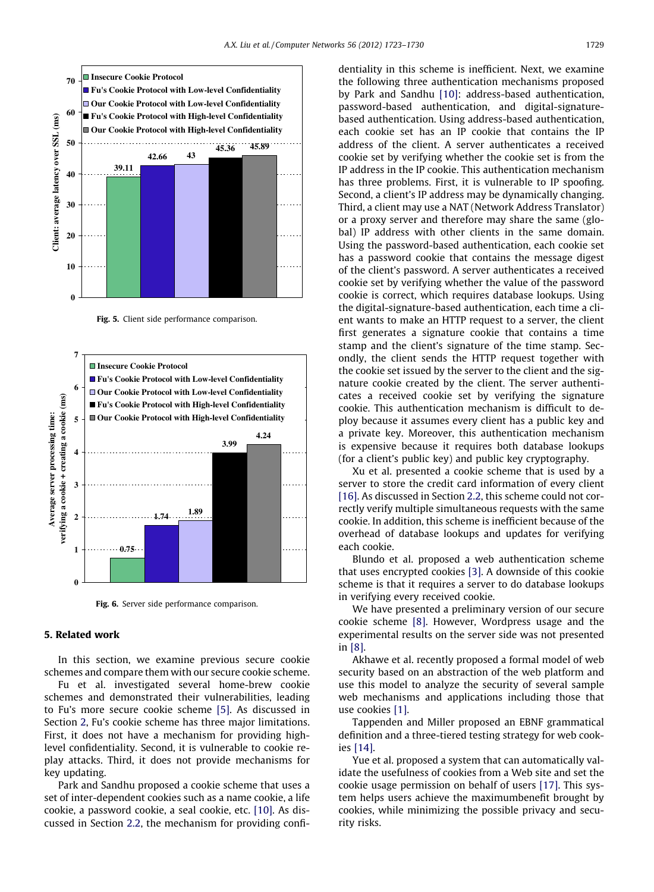<span id="page-6-0"></span>

Fig. 5. Client side performance comparison.



Fig. 6. Server side performance comparison.

#### 5. Related work

In this section, we examine previous secure cookie schemes and compare them with our secure cookie scheme.

Fu et al. investigated several home-brew cookie schemes and demonstrated their vulnerabilities, leading to Fu's more secure cookie scheme [\[5\]](#page-7-0). As discussed in Section 2, Fu's cookie scheme has three major limitations. First, it does not have a mechanism for providing highlevel confidentiality. Second, it is vulnerable to cookie replay attacks. Third, it does not provide mechanisms for key updating.

Park and Sandhu proposed a cookie scheme that uses a set of inter-dependent cookies such as a name cookie, a life cookie, a password cookie, a seal cookie, etc. [\[10\].](#page-7-0) As discussed in Section 2.2, the mechanism for providing confidentiality in this scheme is inefficient. Next, we examine the following three authentication mechanisms proposed by Park and Sandhu [\[10\]](#page-7-0): address-based authentication, password-based authentication, and digital-signaturebased authentication. Using address-based authentication, each cookie set has an IP cookie that contains the IP address of the client. A server authenticates a received cookie set by verifying whether the cookie set is from the IP address in the IP cookie. This authentication mechanism has three problems. First, it is vulnerable to IP spoofing. Second, a client's IP address may be dynamically changing. Third, a client may use a NAT (Network Address Translator) or a proxy server and therefore may share the same (global) IP address with other clients in the same domain. Using the password-based authentication, each cookie set has a password cookie that contains the message digest of the client's password. A server authenticates a received cookie set by verifying whether the value of the password cookie is correct, which requires database lookups. Using the digital-signature-based authentication, each time a client wants to make an HTTP request to a server, the client first generates a signature cookie that contains a time stamp and the client's signature of the time stamp. Secondly, the client sends the HTTP request together with the cookie set issued by the server to the client and the signature cookie created by the client. The server authenticates a received cookie set by verifying the signature cookie. This authentication mechanism is difficult to deploy because it assumes every client has a public key and a private key. Moreover, this authentication mechanism is expensive because it requires both database lookups (for a client's public key) and public key cryptography.

Xu et al. presented a cookie scheme that is used by a server to store the credit card information of every client [\[16\]](#page-7-0). As discussed in Section 2.2, this scheme could not correctly verify multiple simultaneous requests with the same cookie. In addition, this scheme is inefficient because of the overhead of database lookups and updates for verifying each cookie.

Blundo et al. proposed a web authentication scheme that uses encrypted cookies [\[3\].](#page-7-0) A downside of this cookie scheme is that it requires a server to do database lookups in verifying every received cookie.

We have presented a preliminary version of our secure cookie scheme [\[8\]](#page-7-0). However, Wordpress usage and the experimental results on the server side was not presented in [\[8\].](#page-7-0)

Akhawe et al. recently proposed a formal model of web security based on an abstraction of the web platform and use this model to analyze the security of several sample web mechanisms and applications including those that use cookies [\[1\].](#page-7-0)

Tappenden and Miller proposed an EBNF grammatical definition and a three-tiered testing strategy for web cookies [\[14\]](#page-7-0).

Yue et al. proposed a system that can automatically validate the usefulness of cookies from a Web site and set the cookie usage permission on behalf of users [\[17\].](#page-7-0) This system helps users achieve the maximumbenefit brought by cookies, while minimizing the possible privacy and security risks.